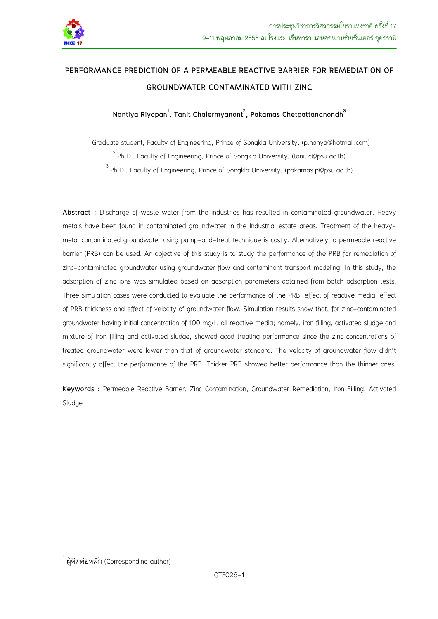

# **PERFORMANCE PREDICTION OF A PERMEABLE REACTIVE BARRIER FOR REMEDIATION OF GROUNDWATER CONTAMINATED WITH ZINC**

**Nantiya Riyapan<sup>1</sup> , Tanit Chalermyanont<sup>2</sup> , Pakamas Chetpattananondh3**

<sup>1</sup> Graduate student, Faculty of Engineering, Prince of Songkla University, (p.nanya@hotmail.com)<br><sup>2</sup> Ph.D., Faculty of Engineering, Prince of Songkla University, (tanit.c@psu.ac.th)<br><sup>3</sup> Ph.D., Faculty of Engineering, Pri

**Abstract :** Discharge of waste water from the industries has resulted in contaminated groundwater. Heavy metals have been found in contaminated groundwater in the Industrial estate areas. Treatment of the heavymetal contaminated groundwater using pump-and-treat technique is costly. Alternatively, a permeable reactive barrier (PRB) can be used. An objective of this study is to study the performance of the PRB for remediation of zinc-contaminated groundwater using groundwater flow and contaminant transport modeling. In this study, the adsorption of zinc ions was simulated based on adsorption parameters obtained from batch adsorption tests. Three simulation cases were conducted to evaluate the performance of the PRB: effect of reactive media, effect of PRB thickness and effect of velocity of groundwater flow. Simulation results show that, for zinc-contaminated groundwater having initial concentration of 100 mg/L, all reactive media; namely, iron filling, activated sludge and mixture of iron filling and activated sludge, showed good treating performance since the zinc concentrations of treated groundwater were lower than that of groundwater standard. The velocity of groundwater flow didn't significantly affect the performance of the PRB. Thicker PRB showed better performance than the thinner ones.

**Keywords :** Permeable Reactive Barrier, Zinc Contamination, Groundwater Remediation, Iron Filling, Activated Sludge

<u>.</u>

<sup>1</sup> ผู้ติดต่อหลัก (Corresponding author)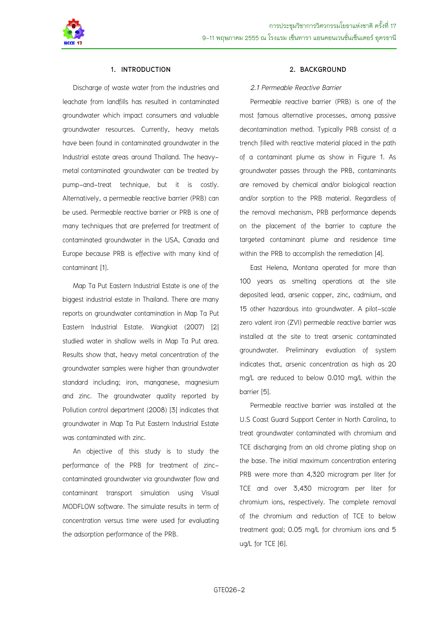

### **1. INTRODUCTION**

Discharge of waste water from the industries and leachate from landfills has resulted in contaminated groundwater which impact consumers and valuable groundwater resources. Currently, heavy metals have been found in contaminated groundwater in the Industrial estate areas around Thailand. The heavymetal contaminated groundwater can be treated by pump-and-treat technique, but it is costly. Alternatively, a permeable reactive barrier (PRB) can be used. Permeable reactive barrier or PRB is one of many techniques that are preferred for treatment of contaminated groundwater in the USA, Canada and Europe because PRB is effective with many kind of contaminant [1}.

Map Ta Put Eastern Industrial Estate is one of the biggest industrial estate in Thailand. There are many reports on groundwater contamination in Map Ta Put Eastern Industrial Estate. Wangkiat (2007) [2] studied water in shallow wells in Map Ta Put area. Results show that, heavy metal concentration of the groundwater samples were higher than groundwater standard including; iron, manganese, magnesium and zinc. The groundwater quality reported by Pollution control department (2008) [3] indicates that groundwater in Map Ta Put Eastern Industrial Estate was contaminated with zinc.

An objective of this study is to study the performance of the PRB for treatment of zinccontaminated groundwater via groundwater flow and contaminant transport simulation using Visual MODFLOW software. The simulate results in term of concentration versus time were used for evaluating the adsorption performance of the PRB.

### **2. BACKGROUND**

#### *2.1 Permeable Reactive Barrier*

Permeable reactive barrier (PRB) is one of the most famous alternative processes, among passive decontamination method. Typically PRB consist of a trench filled with reactive material placed in the path of a contaminant plume as show in Figure 1. As groundwater passes through the PRB, contaminants are removed by chemical and/or biological reaction and/or sorption to the PRB material. Regardless of the removal mechanism, PRB performance depends on the placement of the barrier to capture the targeted contaminant plume and residence time within the PRB to accomplish the remediation [4].

East Helena, Montana operated for more than 100 years as smelting operations at the site deposited lead, arsenic copper, zinc, cadmium, and 15 other hazardous into groundwater. A pilot-scale zero valent iron (ZVI) permeable reactive barrier was installed at the site to treat arsenic contaminated groundwater. Preliminary evaluation of system indicates that, arsenic concentration as high as 20 mg/L are reduced to below 0.010 mg/L within the barrier [5].

Permeable reactive barrier was installed at the U.S Coast Guard Support Center in North Carolina, to treat groundwater contaminated with chromium and TCE discharging from an old chrome plating shop on the base. The initial maximum concentration entering PRB were more than 4,320 microgram per liter for TCE and over 3,430 microgram per liter for chromium ions, respectively. The complete removal of the chromium and reduction of TCE to below treatment goal; 0.05 mg/L for chromium ions and 5 ug/L for TCE [6].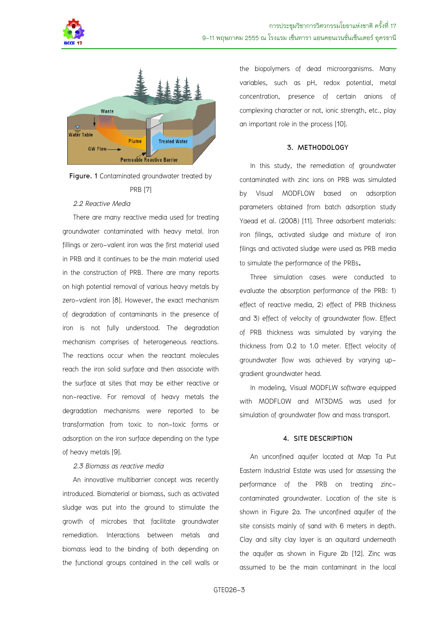





### *2.2 Reactive Media*

There are many reactive media used for treating groundwater contaminated with heavy metal. Iron fillings or zero-valent iron was the first material used in PRB and it continues to be the main material used in the construction of PRB. There are many reports on high potential removal of various heavy metals by zero-valent iron [8]. However, the exact mechanism of degradation of contaminants in the presence of iron is not fully understood. The degradation mechanism comprises of heterogeneous reactions. The reactions occur when the reactant molecules reach the iron solid surface and then associate with the surface at sites that may be either reactive or non-reactive. For removal of heavy metals the degradation mechanisms were reported to be transformation from toxic to non-toxic forms or adsorption on the iron surface depending on the type of heavy metals [9].

### *2.3 Biomass as reactive media*

An innovative multibarrier concept was recently introduced. Biomaterial or biomass, such as activated sludge was put into the ground to stimulate the growth of microbes that facilitate groundwater remediation. Interactions between metals and biomass lead to the binding of both depending on the functional groups contained in the cell walls or

the biopolymers of dead microorganisms. Many variables, such as pH, redox potential, metal concentration, presence of certain anions of complexing character or not, ionic strength, etc., play an important role in the process [10].

### **3. METHODOLOGY**

In this study, the remediation of groundwater contaminated with zinc ions on PRB was simulated by Visual MODFLOW based on adsorption parameters obtained from batch adsorption study Yaead et al. (2008) [11]. Three adsorbent materials: iron filings, activated sludge and mixture of iron filings and activated sludge were used as PRB media to simulate the performance of the PRBs.

Three simulation cases were conducted to evaluate the absorption performance of the PRB: 1) effect of reactive media, 2) effect of PRB thickness and 3) effect of velocity of groundwater flow. Effect of PRB thickness was simulated by varying the thickness from 0.2 to 1.0 meter. Effect velocity of groundwater flow was achieved by varying upgradient groundwater head.

In modeling, Visual MODFLW software equipped with MODFLOW and MT3DMS was used for simulation of groundwater flow and mass transport.

### **4. SITE DESCRIPTION**

An unconfined aquifer located at Map Ta Put Eastern Industrial Estate was used for assessing the performance of the PRB on treating zinccontaminated groundwater. Location of the site is shown in Figure 2a. The unconfined aquifer of the site consists mainly of sand with 6 meters in depth. Clay and silty clay layer is an aquitard underneath the aquifer as shown in Figure 2b [12]. Zinc was assumed to be the main contaminant in the local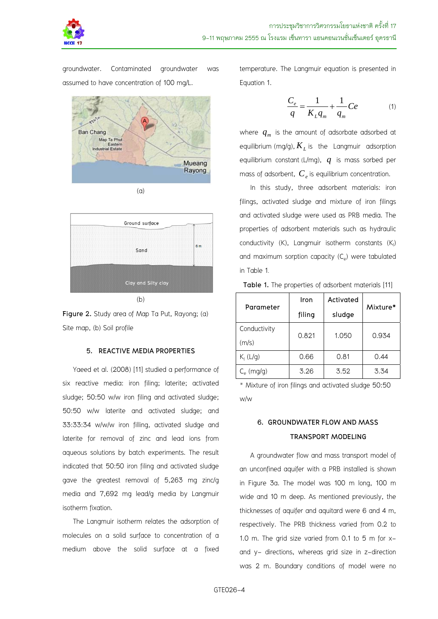

groundwater. Contaminated groundwater was assumed to have concentration of 100 mg/L.





(b)



# **5. REACTIVE MEDIA PROPERTIES**

Yaeed et al. (2008) [11] studied a performance of six reactive media: iron filing; laterite; activated sludge; 50:50 w/w iron filing and activated sludge; 50:50 w/w laterite and activated sludge; and 33:33:34 w/w/w iron filling, activated sludge and laterite for removal of zinc and lead ions from aqueous solutions by batch experiments. The result indicated that 50:50 iron filing and activated sludge gave the greatest removal of 5,263 mg zinc/g media and 7,692 mg lead/g media by Langmuir isotherm fixation.

The Langmuir isotherm relates the adsorption of molecules on a solid surface to concentration of a medium above the solid surface at a fixed temperature. The Langmuir equation is presented in Equation 1.

$$
\frac{C_e}{q} = \frac{1}{K_L q_m} + \frac{1}{q_m} Ce \tag{1}
$$

where  $q_m$  is the amount of adsorbate adsorbed at equilibrium (mg/g),  $K_{L}$  is the Langmuir adsorption equilibrium constant (L/mg), *q* is mass sorbed per mass of adsorbent,  $C_e$  is equilibrium concentration.

In this study, three adsorbent materials: iron filings, activated sludge and mixture of iron filings and activated sludge were used as PRB media. The properties of adsorbent materials such as hydraulic conductivity  $(K)$ , Langmuir isotherm constants  $(K<sub>1</sub>)$ and maximum sorption capacity  $(C_e)$  were tabulated in Table 1.

| Parameter          | Iron   | Activated | Mixture* |
|--------------------|--------|-----------|----------|
|                    | filing | sludge    |          |
| Conductivity       | 0.821  | 1.050     | 0.934    |
| (m/s)              |        |           |          |
| $K_1(L/q)$         | 0.66   | 0.81      | 0.44     |
| $C_{\rm e}$ (mg/g) | 3.26   | 3.52      | 3.34     |

**Table 1.** The properties of adsorbent materials [11]

\* Mixture of iron filings and activated sludge 50:50 w/w

# **6. GROUNDWATER FLOW AND MASS TRANSPORT MODELING**

A groundwater flow and mass transport model of an unconfined aquifer with a PRB installed is shown in Figure 3a. The model was 100 m long, 100 m wide and 10 m deep. As mentioned previously, the thicknesses of aquifer and aquitard were 6 and 4 m, respectively. The PRB thickness varied from 0.2 to 1.0 m. The grid size varied from 0.1 to 5 m for xand y- directions, whereas grid size in z-direction was 2 m. Boundary conditions of model were no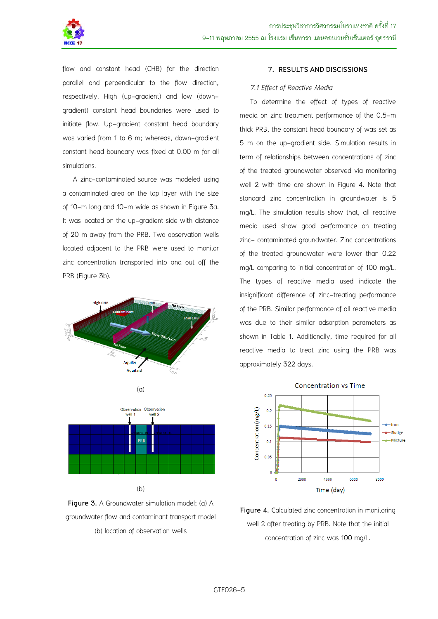

flow and constant head (CHB) for the direction parallel and perpendicular to the flow direction, respectively. High (up-gradient) and low (downgradient) constant head boundaries were used to initiate flow. Up-gradient constant head boundary was varied from 1 to 6 m; whereas, down-gradient constant head boundary was fixed at 0.00 m for all simulations.

A zinc-contaminated source was modeled using a contaminated area on the top layer with the size of 10-m long and 10-m wide as shown in Figure 3a. It was located on the up-gradient side with distance of 20 m away from the PRB. Two observation wells located adjacent to the PRB were used to monitor zinc concentration transported into and out off the PRB (Figure 3b).





**Figure 3.** A Groundwater simulation model; (a) A groundwater flow and contaminant transport model (b) location of observation wells

# **7. RESULTS AND DISCISSIONS**

### *7.1 Effect of Reactive Media*

To determine the effect of types of reactive media on zinc treatment performance of the 0.5-m thick PRB, the constant head boundary of was set as 5 m on the up-gradient side. Simulation results in term of relationships between concentrations of zinc of the treated groundwater observed via monitoring well 2 with time are shown in Figure 4. Note that standard zinc concentration in groundwater is 5 mg/L. The simulation results show that, all reactive media used show good performance on treating zinc- contaminated groundwater. Zinc concentrations of the treated groundwater were lower than 0.22 mg/L comparing to initial concentration of 100 mg/L. The types of reactive media used indicate the insignificant difference of zinc-treating performance of the PRB. Similar performance of all reactive media was due to their similar adsorption parameters as shown in Table 1. Additionally, time required for all reactive media to treat zinc using the PRB was approximately 322 days.



Figure 4. Calculated zinc concentration in monitoring well 2 after treating by PRB. Note that the initial concentration of zinc was 100 mg/L.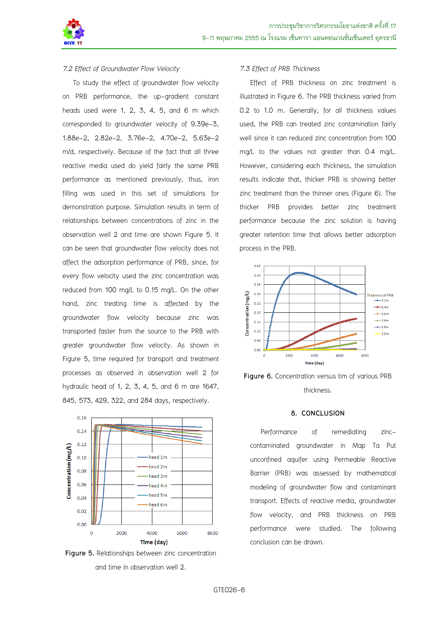

# *7.2 Effect of Groundwater Flow Velocity*

To study the effect of groundwater flow velocity on PRB performance, the up-gradient constant heads used were 1, 2, 3, 4, 5, and 6 m which corresponded to groundwater velocity of 9.39e-3, 1.88e-2, 2.82e-2, 3.76e-2, 4.70e-2, 5.63e-2 m/d, respectively. Because of the fact that all three reactive media used do yield fairly the same PRB performance as mentioned previously, thus, iron filling was used in this set of simulations for demonstration purpose. Simulation results in term of relationships between concentrations of zinc in the observation well 2 and time are shown Figure 5. It can be seen that groundwater flow velocity does not affect the adsorption performance of PRB, since, for every flow velocity used the zinc concentration was reduced from 100 mg/L to 0.15 mg/L. On the other hand, zinc treating time is affected by the groundwater flow velocity because zinc was transported faster from the source to the PRB with greater groundwater flow velocity. As shown in Figure 5, time required for transport and treatment processes as observed in observation well 2 for hydraulic head of 1, 2, 3, 4, 5, and 6 m are 1647, 845, 573, 429, 322, and 284 days, respectively.



**Figure 5.** Relationships between zinc concentration and time in observation well 2.

# *7.3 Effect of PRB Thickness*

Effect of PRB thickness on zinc treatment is illustrated in Figure 6. The PRB thickness varied from 0.2 to 1.0 m. Generally, for all thickness values used, the PRB can treated zinc contamination fairly well since it can reduced zinc concentration from 100 mg/L to the values not greater than 0.4 mg/L. However, considering each thickness, the simulation results indicate that, thicker PRB is showing better zinc treatment than the thinner ones (Figure 6). The thicker PRB provides better zinc treatment performance because the zinc solution is having greater retention time that allows better adsorption process in the PRB.



**Figure 6.** Concentration versus tim of various PRB thickness.

### **8. CONCLUSION**

Performance of remediating zinccontaminated groundwater in Map Ta Put unconfined aquifer using Permeable Reactive Barrier (PRB) was assessed by mathematical modeling of groundwater flow and contaminant transport. Effects of reactive media, groundwater flow velocity, and PRB thickness on PRB performance were studied. The following conclusion can be drawn.